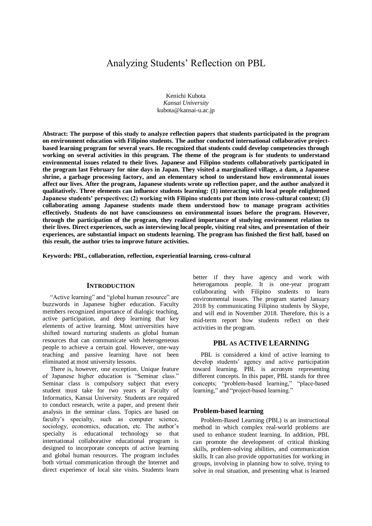# Analyzing Students' Reflection on PBL

Kenichi Kubota *Kansai University* kubota@kansai-u.ac.jp

**Abstract: The purpose of this study to analyze reflection papers that students participated in the program on environment education with Filipino students. The author conducted international collaborative projectbased learning program for several years. He recognized that students could develop competencies through working on several activities in this program. The theme of the program is for students to understand environmental issues related to their lives. Japanese and Filipino students collaboratively participated in the program last February for nine days in Japan. They visited a marginalized village, a dam, a Japanese shrine, a garbage processing factory, and an elementary school to understand how environmental issues affect our lives. After the program, Japanese students wrote up reflection paper, and the author analyzed it qualitatively. Three elements can influence students learning: (1) interacting with local people enlightened Japanese students' perspectives; (2) working with Filipino students put them into cross-cultural context; (3) collaborating among Japanese students made them understood how to manage program activities effectively. Students do not have consciousness on environmental issues before the program. However, through the participation of the program, they realized importance of studying environment relation to their lives. Direct experiences, such as interviewing local people, visiting real sites, and presentation of their experiences, are substantial impact on students learning. The program has finished the first half, based on this result, the author tries to improve future activities.**

**Keywords: PBL, collaboration, reflection, experiential learning, cross-cultural**

#### **INTRODUCTION**

"Active learning" and "global human resource" are buzzwords in Japanese higher education. Faculty members recognized importance of dialogic teaching, active participation, and deep learning that key elements of active learning. Most universities have shifted toward nurturing students as global human resources that can communicate with heterogeneous people to achieve a certain goal. However, one-way teaching and passive learning have not been eliminated at most university lessons.

There is, however, one exception. Unique feature of Japanese higher education is "Seminar class." Seminar class is compulsory subject that every student must take for two years at Faculty of Informatics, Kansai University. Students are required to conduct research, write a paper, and present their analysis in the seminar class. Topics are based on faculty's specialty, such as computer science, sociology, economics, education, etc. The author's specialty is educational technology so that international collaborative educational program is designed to incorporate concepts of active learning and global human resources. The program includes both virtual communication through the Internet and direct experience of local site visits. Students learn better if they have agency and work with heterogamous people. It is one-year program collaborating with Filipino students to learn environmental issues. The program started January 2018 by communicating Filipino students by Skype, and will end in November 2018. Therefore, this is a mid-term report how students reflect on their activities in the program.

## **PBL AS ACTIVE LEARNING**

PBL is considered a kind of active learning to develop students' agency and active participation toward learning. PBL is acronym representing different concepts. In this paper, PBL stands for three concepts; "problem-based learning," "place-based learning," and "project-based learning."

#### **Problem-based learning**

Problem-Based Learning (PBL) is an instructional method in which complex real-world problems are used to enhance student learning. In addition, PBL can promote the development of critical thinking skills, problem-solving abilities, and communication skills. It can also provide opportunities for working in groups, involving in planning how to solve, trying to solve in real situation, and presenting what is learned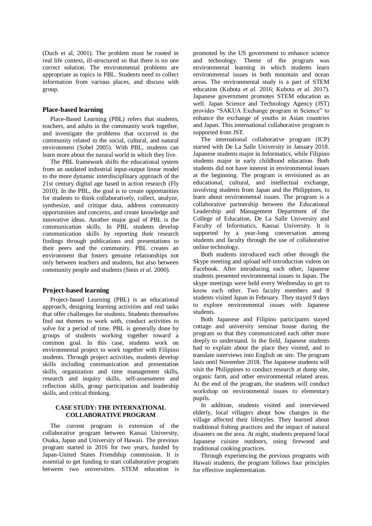(Duch et al, 2001). The problem must be rooted in real life context, ill-structured so that there is no one correct solution. The environmental problems are appropriate as topics in PBL. Students need to collect information from various places, and discuss with group.

#### **Place-based learning**

Place-Based Learning (PBL) refers that students, teachers, and adults in the community work together, and investigate the problems that occurred in the community related to the social, cultural, and natural environment (Sobel 2005). With PBL, students can learn more about the natural world in which they live.

The PBL framework shifts the educational system from an outdated industrial input-output linear model to the more dynamic interdisciplinary approach of the 21st century digital age based in action research (Fly 2010). In the PBL, the goal is to create opportunities for students to think collaboratively, collect, analyze, synthesize, and critique data, address community opportunities and concerns, and create knowledge and innovative ideas. Another major goal of PBL is the communication skills. In PBL students develop communication skills by reporting their research findings through publications and presentations to their peers and the community. PBL creates an environment that fosters genuine relationships not only between teachers and students, but also between community people and students (Stein *et al.* 2000).

#### **Project-based learning**

Project-based Learning (PBL) is an educational approach, designing learning activities and real tasks that offer challenges for students. Students themselves find out themes to work with, conduct activities to solve for a period of time. PBL is generally done by groups of students working together toward a common goal. In this case, students work on environmental project to work together with Filipino students. Through project activities, students develop skills including communication and presentation skills, organization and time management skills, research and inquiry skills, self-assessment and reflection skills, group participation and leadership skills, and critical thinking.

### **CASE STUDY: THE INTERNATIONAL COLLABORATIVE PROGRAM**

The current program is extension of the collaborative program between Kansai University, Osaka, Japan and University of Hawaii. The previous program started in 2016 for two years, funded by Japan-United States Friendship commission. It is essential to get funding to start collaborative program between two universities. STEM education is promoted by the US government to enhance science and technology. Theme of the program was environmental learning in which students learn environmental issues in both mountain and ocean areas. The environmental study is a part of STEM education (Kubota *et al.* 2016; Kubota *et al.* 2017). Japanese government promotes STEM education as well. Japan Science and Technology Agency (JST) provides "SAKUA Exchange program in Science" to enhance the exchange of youths in Asian countries and Japan. This international collaborative program is supported from JST.

The international collaborative program (ICP) started with De La Salle University in January 2018. Japanese students major in Informatics, while Filipino students major in early childhood education. Both students did not have interest in environmental issues at the beginning. The program is envisioned as an educational, cultural, and intellectual exchange, involving students from Japan and the Philippines, to learn about environmental issues. The program is a collaborative partnership between the Educational Leadership and Management Department of the College of Education, De La Salle University and Faculty of Informatics, Kansai University. It is supported by a year-long conversation among students and faculty through the use of collaborative online technology.

Both students introduced each other through the Skype meeting and upload self-introduction videos on Facebook. After introducing each other, Japanese students presented environmental issues in Japan. The skype meetings were held every Wednesday to get to know each other. Two faculty members and 8 students visited Japan in February. They stayed 9 days to explore environmental issues with Japanese students.

Both Japanese and Filipino participants stayed cottage and university seminar house during the program so that they communicated each other more deeply to understand. In the field, Japanese students had to explain about the place they visited, and to translate interviews into English on site. The program lasts until November 2018. The Japanese students will visit the Philippines to conduct research at dump site, organic farm, and other environmental related areas. At the end of the program, the students will conduct workshop on environmental issues to elementary pupils.

In addition, students visited and interviewed elderly, local villagers about how changes in the village affected their lifestyles. They learned about traditional fishing practices and the impact of natural disasters on the area. At night, students prepared local Japanese cuisine outdoors, using firewood and traditional cooking practices.

Through experiencing the previous programs with Hawaii students, the program follows four principles for effective implementation.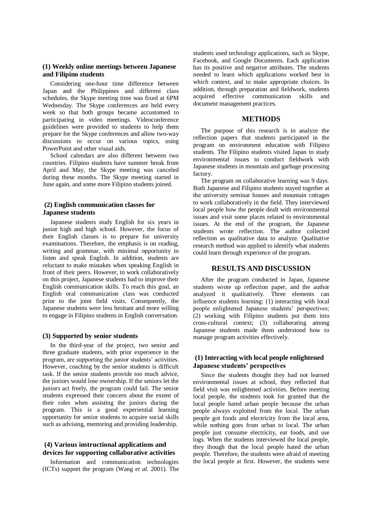## **(1) Weekly online meetings between Japanese and Filipino students**

Considering one-hour time difference between Japan and the Philippines and different class schedules, the Skype meeting time was fixed at 6PM Wednesday. The Skype conferences are held every week so that both groups became accustomed to participating in video meetings. Videoconference guidelines were provided to students to help them prepare for the Skype conferences and allow two-way discussions to occur on various topics, using PowerPoint and other visual aids.

School calendars are also different between two countries. Filipino students have summer break from April and May, the Skype meeting was canceled during these months. The Skype meeting started in June again, and some more Filipino students joined.

## **(2) English communication classes for Japanese students**

Japanese students study English for six years in junior high and high school. However, the focus of their English classes is to prepare for university examinations. Therefore, the emphasis is on reading, writing and grammar, with minimal opportunity to listen and speak English. In addition, students are reluctant to make mistakes when speaking English in front of their peers. However, to work collaboratively on this project, Japanese students had to improve their English communication skills. To reach this goal, an English oral communication class was conducted prior to the joint field visits. Consequently, the Japanese students were less hesitant and more willing to engage in Filipino students in English conversation.

#### **(3) Supported by senior students**

In the third-year of the project, two senior and three graduate students, with prior experience in the program, are supporting the junior students' activities. However, coaching by the senior students is difficult task. If the senior students provide too much advice, the juniors would lose ownership. If the seniors let the juniors act freely, the program could fail. The senior students expressed their concern about the extent of their roles when assisting the juniors during the program. This is a good experiential learning opportunity for senior students to acquire social skills such as advising, mentoring and providing leadership.

## **(4) Various instructional applications and devices for supporting collaborative activities**

Information and communication technologies (ICTs) support the program (Wang *et al.* 2001). The

students used technology applications, such as Skype, Facebook, and Google Documents. Each application has its positive and negative attributes. The students needed to learn which applications worked best in which context, and to make appropriate choices. In addition, through preparation and fieldwork, students acquired effective communication skills and document management practices.

### **METHODS**

The purpose of this research is to analyze the reflection papers that students participated in the program on environment education with Filipino students. The Filipino students visited Japan to study environmental issues to conduct fieldwork with Japanese students in mountain and garbage processing factory.

The program on collaborative learning was 9 days. Both Japanese and Filipino students stayed together at the university seminar houses and mountain cottages to work collaboratively in the field. They interviewed local people how the people dealt with environmental issues and visit some places related to environmental issues. At the end of the program, the Japanese students wrote reflection. The author collected reflection as qualitative data to analyze. Qualitative research method was applied to identify what students could learn through experience of the program.

## **RESULTS AND DISCUSSION**

After the program conducted in Japan, Japanese students wrote up reflection paper, and the author analyzed it qualitatively. Three elements can influence students learning: (1) interacting with local people enlightened Japanese students' perspectives; (2) working with Filipino students put them into cross-cultural context; (3) collaborating among Japanese students made them understood how to manage program activities effectively.

## **(1) Interacting with local people enlightened Japanese students' perspectives**

Since the students thought they had not learned environmental issues at school, they reflected that field visit was enlightened activities. Before meeting local people, the students took for granted that the local people hated urban people because the urban people always exploited from the local. The urban people got foods and electricity from the local area, while nothing goes from urban to local. The urban people just consume electricity, eat foods, and use logs. When the students interviewed the local people, they though that the local people hated the urban people. Therefore, the students were afraid of meeting the local people at first. However, the students were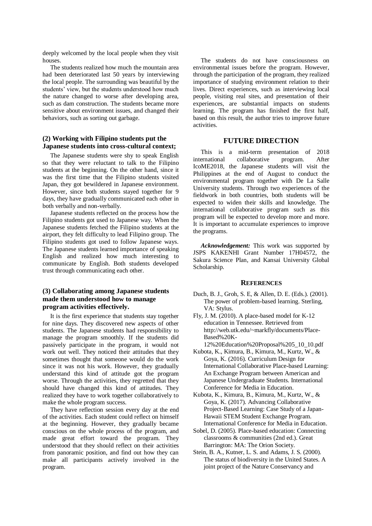deeply welcomed by the local people when they visit houses.

The students realized how much the mountain area had been deteriorated last 50 years by interviewing the local people. The surrounding was beautiful by the students' view, but the students understood how much the nature changed to worse after developing area, such as dam construction. The students became more sensitive about environment issues, and changed their behaviors, such as sorting out garbage.

### **(2) Working with Filipino students put the Japanese students into cross-cultural context;**

The Japanese students were shy to speak English so that they were reluctant to talk to the Filipino students at the beginning. On the other hand, since it was the first time that the Filipino students visited Japan, they got bewildered in Japanese environment. However, since both students stayed together for 9 days, they have gradually communicated each other in both verbally and non-verbally.

Japanese students reflected on the process how the Filipino students got used to Japanese way. When the Japanese students fetched the Filipino students at the airport, they felt difficulty to lead Filipino group. The Filipino students got used to follow Japanese ways. The Japanese students learned importance of speaking English and realized how much interesting to communicate by English. Both students developed trust through communicating each other.

## **(3) Collaborating among Japanese students made them understood how to manage program activities effectively.**

It is the first experience that students stay together for nine days. They discovered new aspects of other students. The Japanese students had responsibility to manage the program smoothly. If the students did passively participate in the program, it would not work out well. They noticed their attitudes that they sometimes thought that someone would do the work since it was not his work. However, they gradually understand this kind of attitude got the program worse. Through the activities, they regretted that they should have changed this kind of attitudes. They realized they have to work together collaboratively to make the whole program success.

They have reflection session every day at the end of the activities. Each student could reflect on himself at the beginning. However, they gradually became conscious on the whole process of the program, and made great effort toward the program. They understood that they should reflect on their activities from panoramic position, and find out how they can make all participants actively involved in the program.

The students do not have consciousness on environmental issues before the program. However, through the participation of the program, they realized importance of studying environment relation to their lives. Direct experiences, such as interviewing local people, visiting real sites, and presentation of their experiences, are substantial impacts on students learning. The program has finished the first half, based on this result, the author tries to improve future activities.

# **FUTURE DIRECTION**

This is a mid-term presentation of 2018 international collaborative program. After IcoME2018, the Japanese students will visit the Philippines at the end of August to conduct the environmental program together with De La Salle University students. Through two experiences of the fieldwork in both countries, both students will be expected to widen their skills and knowledge. The international collaborative program such as this program will be expected to develop more and more. It is important to accumulate experiences to improve the programs.

*Acknowledgement:* This work was supported by JSPS KAKENHI Grant Number 17H04572, the Sakura Science Plan, and Kansai University Global Scholarship.

# **REFERENCES**

- Duch, B. J., Groh, S. E, & Allen, D. E. (Eds.). (2001). The power of problem-based learning. Sterling, VA: Stylus.
- Fly, J. M. (2010). A place-based model for K-12 education in Tennessee. Retrieved from http://web.utk.edu/~markfly/documents/Place-Based%20K-

12%20Education%20Proposal%205\_10\_10.pdf

- Kubota, K., Kimura, B., Kimura, M., Kurtz, W., & Goya, K. (2016). Curriculum Design for International Collaborative Place-based Learning: An Exchange Program between American and Japanese Undergraduate Students. International Conference for Media in Education.
- Kubota, K., Kimura, B., Kimura, M., Kurtz, W., & Goya, K. (2017). Advancing Collaborative Project-Based Learning: Case Study of a Japan-Hawaii STEM Student Exchange Program. International Conference for Media in Education.
- Sobel, D. (2005). Place-based education: Connecting classrooms & communities (2nd ed.). Great Barrington: MA: The Orion Society.
- Stein, B. A., Kutner, L. S. and Adams, J. S. (2000). The status of biodiversity in the United States. A joint project of the Nature Conservancy and